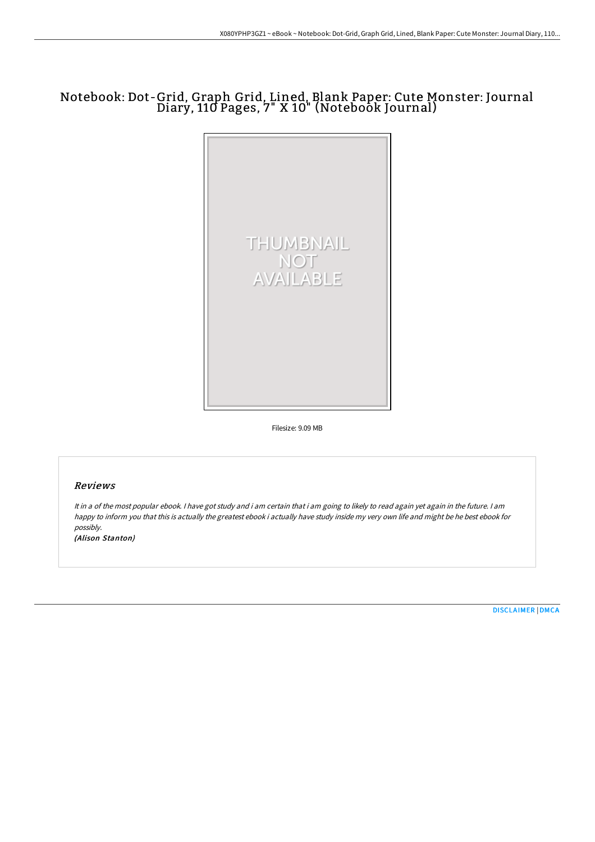# Notebook: Dot-Grid, Graph Grid, Lined, Blank Paper: Cute Monster: Journal Diary, 110 Pages, 7" X 10" (Notebook Journal)



Filesize: 9.09 MB

## Reviews

It in <sup>a</sup> of the most popular ebook. <sup>I</sup> have got study and i am certain that i am going to likely to read again yet again in the future. <sup>I</sup> am happy to inform you that this is actually the greatest ebook i actually have study inside my very own life and might be he best ebook for possibly.

(Alison Stanton)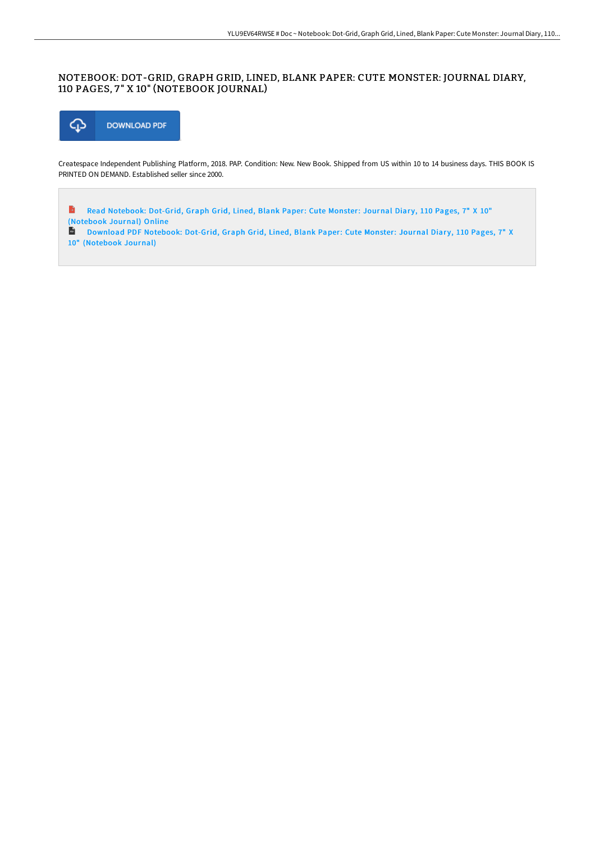# NOTEBOOK: DOT-GRID, GRAPH GRID, LINED, BLANK PAPER: CUTE MONSTER: JOURNAL DIARY, 110 PAGES, 7 " X 10" (NOTEBOOK JOURNAL)



Createspace Independent Publishing Platform, 2018. PAP. Condition: New. New Book. Shipped from US within 10 to 14 business days. THIS BOOK IS PRINTED ON DEMAND. Established seller since 2000.

 $\rightarrow$ Read Notebook: Dot-Grid, Graph Grid, Lined, Blank Paper: Cute Monster: Journal Diary, 110 Pages, 7" X 10" [\(Notebook](http://techno-pub.tech/notebook-dot-grid-graph-grid-lined-blank-paper-c-10.html) Journal) Online

**D** Download PDF Notebook: Dot-Grid, Graph Grid, Lined, Blank Paper: Cute Monster: Journal Diary, 110 Pages, 7" X 10" [\(Notebook](http://techno-pub.tech/notebook-dot-grid-graph-grid-lined-blank-paper-c-10.html) Journal)